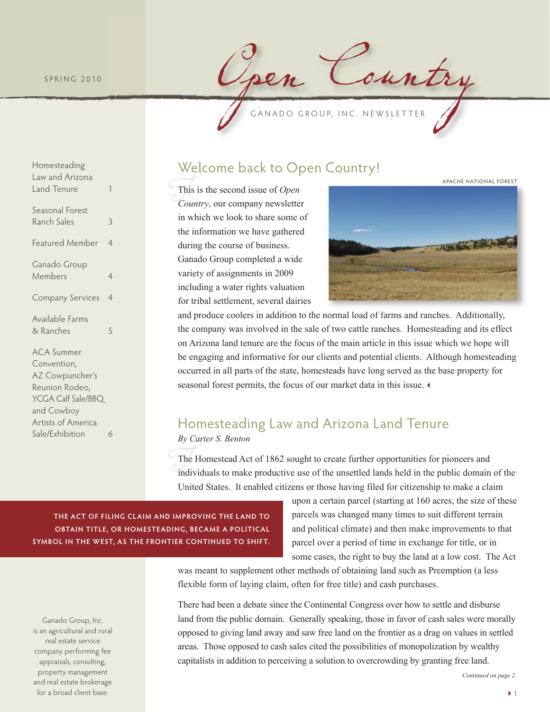#### S P R I N G 2010

Homesteading Law and Arizona Land Tenure 1

Seasonal Forest Ranch Sales 3

Ganado Group Members 4

Available Farms & Ranches 5

ACA Summer Convention, AZ Cowpuncher's Reunion Rodeo, YCGA Calf Sale/BBQ and Cowboy Artists of America Sale/Exhibition 6

Featured Member 4

Company Services 4

pen Country

# Welcome back to Open Country!

 $T_{C_6}$ This is the second issue of *Open Country*, our company newsletter in which we look to share some of the information we have gathered during the course of business. Ganado Group completed a wide variety of assignments in 2009 including a water rights valuation for tribal settlement, several dairies



and produce coolers in addition to the normal load of farms and ranches. Additionally, the company was involved in the sale of two cattle ranches. Homesteading and its effect on Arizona land tenure are the focus of the main article in this issue which we hope will be engaging and informative for our clients and potential clients. Although homesteading occurred in all parts of the state, homesteads have long served as the base property for seasonal forest permits, the focus of our market data in this issue.

## Homesteading Law and Arizona Land Tenure *By Carter S. Benton*

 $T_{\text{max}}$ <br> $T_{\text{max}}$ <br> $T_{\text{max}}$ The Homestead Act of 1862 sought to create further opportunities for pioneers and individuals to make productive use of the unsettled lands held in the public domain of the United States. It enabled citizens or those having filed for citizenship to make a claim

**The acT of filing claim and improving The land To obTain TiTle, or homesTeading, became a poliTical symbol in The WesT, as The fronTier conTinued To shifT.**

Ganado Group, Inc. is an agricultural and rural real estate service company performing fee appraisals, consulting, property management and real estate brokerage for a broad client base.

upon a certain parcel (starting at 160 acres, the size of these parcels was changed many times to suit different terrain and political climate) and then make improvements to that parcel over a period of time in exchange for title, or in some cases, the right to buy the land at a low cost. The Act

was meant to supplement other methods of obtaining land such as Preemption (a less flexible form of laying claim, often for free title) and cash purchases.

There had been a debate since the Continental Congress over how to settle and disburse land from the public domain. Generally speaking, those in favor of cash sales were morally opposed to giving land away and saw free land on the frontier as a drag on values in settled areas. Those opposed to cash sales cited the possibilities of monopolization by wealthy capitalists in addition to perceiving a solution to overcrowding by granting free land.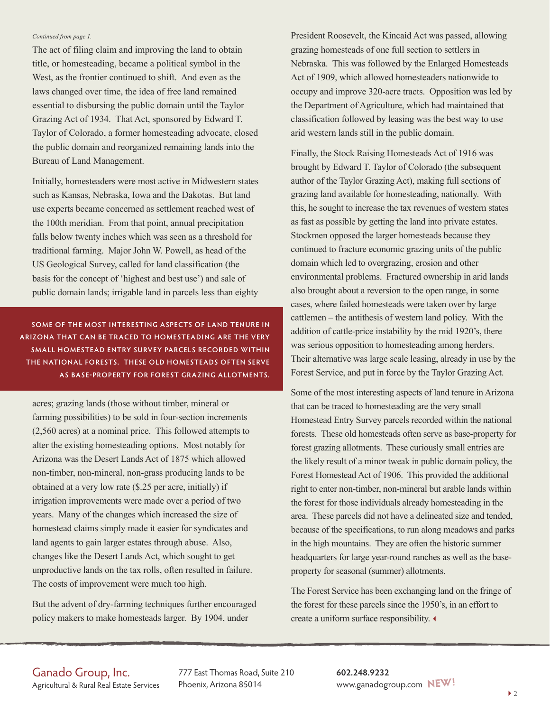#### *Continued from page 1.*

The act of filing claim and improving the land to obtain title, or homesteading, became a political symbol in the West, as the frontier continued to shift. And even as the laws changed over time, the idea of free land remained essential to disbursing the public domain until the Taylor Grazing Act of 1934. That Act, sponsored by Edward T. Taylor of Colorado, a former homesteading advocate, closed the public domain and reorganized remaining lands into the Bureau of Land Management.

Initially, homesteaders were most active in Midwestern states such as Kansas, Nebraska, Iowa and the Dakotas. But land use experts became concerned as settlement reached west of the 100th meridian. From that point, annual precipitation falls below twenty inches which was seen as a threshold for traditional farming. Major John W. Powell, as head of the US Geological Survey, called for land classification (the basis for the concept of 'highest and best use') and sale of public domain lands; irrigable land in parcels less than eighty

**some of The mosT inTeresTing aspecTs of land Tenure in arizona ThaT can be Traced To homesTeading are The very small homesTead enTry survey parcels recorded WiThin The naTional foresTs. These old homesTeads ofTen serve as base-properTy for foresT grazing alloTmenTs.**

acres; grazing lands (those without timber, mineral or farming possibilities) to be sold in four-section increments (2,560 acres) at a nominal price. This followed attempts to alter the existing homesteading options. Most notably for Arizona was the Desert Lands Act of 1875 which allowed non-timber, non-mineral, non-grass producing lands to be obtained at a very low rate (\$.25 per acre, initially) if irrigation improvements were made over a period of two years. Many of the changes which increased the size of homestead claims simply made it easier for syndicates and land agents to gain larger estates through abuse. Also, changes like the Desert Lands Act, which sought to get unproductive lands on the tax rolls, often resulted in failure. The costs of improvement were much too high.

But the advent of dry-farming techniques further encouraged policy makers to make homesteads larger. By 1904, under

President Roosevelt, the Kincaid Act was passed, allowing grazing homesteads of one full section to settlers in Nebraska. This was followed by the Enlarged Homesteads Act of 1909, which allowed homesteaders nationwide to occupy and improve 320-acre tracts. Opposition was led by the Department of Agriculture, which had maintained that classification followed by leasing was the best way to use arid western lands still in the public domain.

Finally, the Stock Raising Homesteads Act of 1916 was brought by Edward T. Taylor of Colorado (the subsequent author of the Taylor Grazing Act), making full sections of grazing land available for homesteading, nationally. With this, he sought to increase the tax revenues of western states as fast as possible by getting the land into private estates. Stockmen opposed the larger homesteads because they continued to fracture economic grazing units of the public domain which led to overgrazing, erosion and other environmental problems. Fractured ownership in arid lands also brought about a reversion to the open range, in some cases, where failed homesteads were taken over by large cattlemen – the antithesis of western land policy. With the addition of cattle-price instability by the mid 1920's, there was serious opposition to homesteading among herders. Their alternative was large scale leasing, already in use by the Forest Service, and put in force by the Taylor Grazing Act.

Some of the most interesting aspects of land tenure in Arizona that can be traced to homesteading are the very small Homestead Entry Survey parcels recorded within the national forests. These old homesteads often serve as base-property for forest grazing allotments. These curiously small entries are the likely result of a minor tweak in public domain policy, the Forest Homestead Act of 1906. This provided the additional right to enter non-timber, non-mineral but arable lands within the forest for those individuals already homesteading in the area. These parcels did not have a delineated size and tended, because of the specifications, to run along meadows and parks in the high mountains. They are often the historic summer headquarters for large year-round ranches as well as the baseproperty for seasonal (summer) allotments.

The Forest Service has been exchanging land on the fringe of the forest for these parcels since the 1950's, in an effort to create a uniform surface responsibility.

### Ganado Group, Inc.

Agricultural & Rural Real Estate Services

777 East Thomas Road, Suite 210 Phoenix, Arizona 85014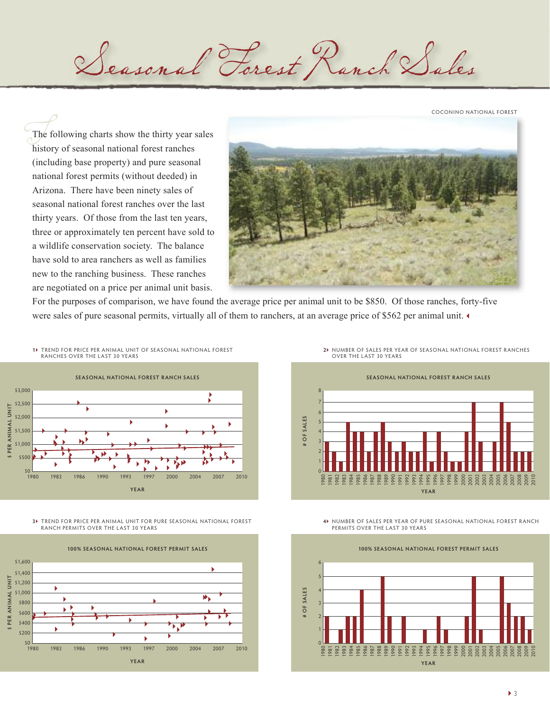COCONINO NATIONAL FOREST

 $T<sub>h</sub>$  is  $(n<sup>h</sup>)$ The following charts show the thirty year sales history of seasonal national forest ranches (including base property) and pure seasonal national forest permits (without deeded) in Arizona. There have been ninety sales of seasonal national forest ranches over the last thirty years. Of those from the last ten years, three or approximately ten percent have sold to a wildlife conservation society. The balance have sold to area ranchers as well as families new to the ranching business. These ranches are negotiated on a price per animal unit basis.



For the purposes of comparison, we have found the average price per animal unit to be \$850. Of those ranches, forty-five were sales of pure seasonal permits, virtually all of them to ranchers, at an average price of \$562 per animal unit.

Seasonal Forest Ranch Sales





**3** TREND FOR PRICE PER ANIMAL UNIT FOR PURE SEASONAL NATIONAL FOREST RANCH PERMITS OVER THE LAST 30 YEARS



**2** NUMBER OF SALES PER YEAR OF SEASONAL NATIONAL FOREST RANCHES OVER THE LAST 30 YEARS



**4** NUMBER OF SALES PER YEAR OF PURE SEASONAL NATIONAL FOREST RANCH PERMITS OVER THE LAST 30 YEARS

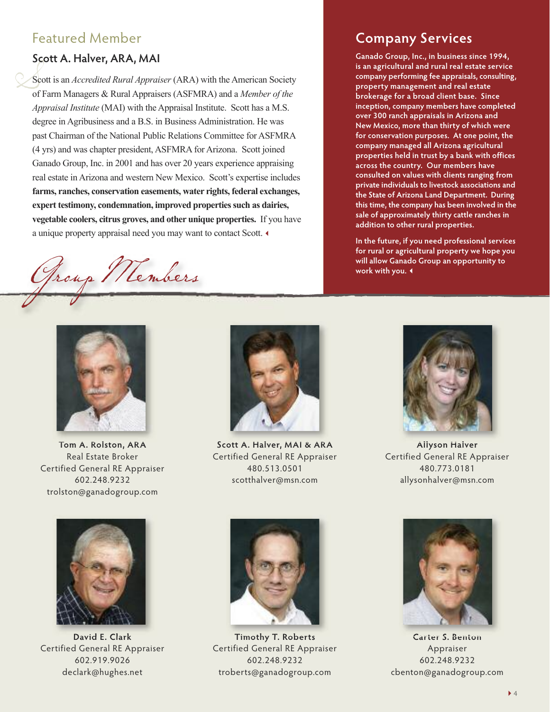## Featured Member

### **scott a. halver, ara, mai**

 $S  
Se  
of  
 $At$$ Scott is an *Accredited Rural Appraiser* (ARA) with the American Society of Farm Managers & Rural Appraisers (ASFMRA) and a *Member of the Appraisal Institute* (MAI) with the Appraisal Institute. Scott has a M.S. degree in Agribusiness and a B.S. in Business Administration. He was past Chairman of the National Public Relations Committee for ASFMRA (4 yrs) and was chapter president, ASFMRA for Arizona. Scott joined Ganado Group, Inc. in 2001 and has over 20 years experience appraising real estate in Arizona and western New Mexico. Scott's expertise includes **farms, ranches, conservation easements, water rights, federal exchanges, expert testimony, condemnation, improved propertiessuch as dairies, vegetable coolers, citrus groves, and other unique properties.** If you have a unique property appraisal need you may want to contact Scott.

Group Members<br>
will allow Ganade work with you.



**Tom a. rolston, ara** Real Estate Broker Certified General RE Appraiser 602.248.9232 trolston@ganadogroup.com



**scott a. halver, mai & ara** Certified General RE Appraiser 480.513.0501 scotthalver@msn.com



**ganado group, inc., in business since 1994, is an agricultural and rural real estate service company performing fee appraisals, consulting, property management and real estate brokerage for a broad client base. since inception, company members have completed over 300 ranch appraisals in arizona and new mexico, more than thirty of which were for conservation purposes. at one point, the company managed all arizona agricultural properties held in trust by a bank with offices across the country. our members have consulted on values with clients ranging from private individuals to livestock associations and the state of arizona land department. during this time, the company has been involved in the sale of approximately thirty cattle ranches in addition to other rural properties.**

**in the future, if you need professional services for rural or agricultural property we hope you will allow ganado group an opportunity to**





**david e. clark** Certified General RE Appraiser 602.919.9026 declark@hughes.net



**Timothy T. roberts** Certified General RE Appraiser 602.248.9232 troberts@ganadogroup.com



**carter s. benton** Appraiser 602.248.9232 cbenton@ganadogroup.com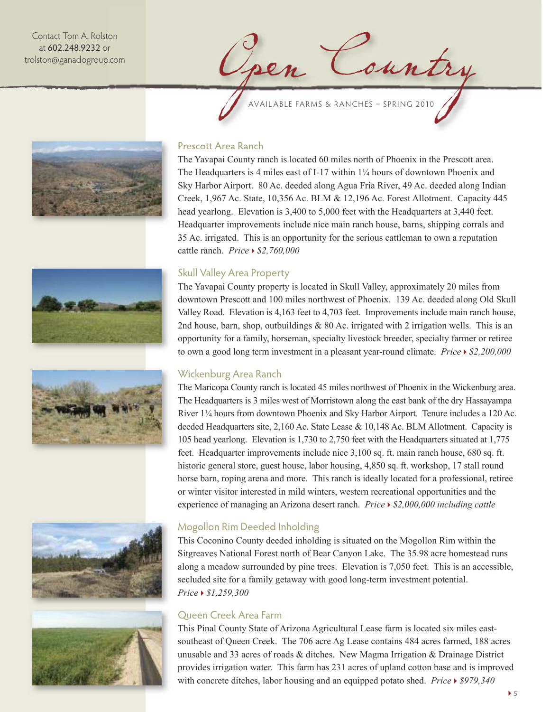Contact Tom A. Rolston at 602.248.9232 or trolston@ganadogroup.com

Jen Country













#### Prescott Area Ranch

The Yavapai County ranch is located 60 miles north of Phoenix in the Prescott area. The Headquarters is 4 miles east of I-17 within 1¼ hours of downtown Phoenix and Sky Harbor Airport. 80 Ac. deeded along Agua Fria River, 49 Ac. deeded along Indian Creek, 1,967 Ac. State, 10,356 Ac. BLM & 12,196 Ac. Forest Allotment. Capacity 445 head yearlong. Elevation is 3,400 to 5,000 feet with the Headquarters at 3,440 feet. Headquarter improvements include nice main ranch house, barns, shipping corrals and 35 Ac. irrigated. This is an opportunity for the serious cattleman to own a reputation cattle ranch. *Price \$2,760,000*

### Skull Valley Area Property

The Yavapai County property is located in Skull Valley, approximately 20 miles from downtown Prescott and 100 miles northwest of Phoenix. 139 Ac. deeded along Old Skull Valley Road. Elevation is 4,163 feet to 4,703 feet. Improvements include main ranch house, 2nd house, barn, shop, outbuildings  $& 80$  Ac. irrigated with 2 irrigation wells. This is an opportunity for a family, horseman, specialty livestock breeder, specialty farmer or retiree to own a good long term investment in a pleasant year-round climate. *Price \$2,200,000*

#### Wickenburg Area Ranch

The Maricopa County ranch is located 45 miles northwest of Phoenix in the Wickenburg area. The Headquarters is 3 miles west of Morristown along the east bank of the dry Hassayampa River 1¼ hours from downtown Phoenix and Sky Harbor Airport. Tenure includes a 120 Ac. deeded Headquarters site, 2,160 Ac. State Lease & 10,148 Ac. BLM Allotment. Capacity is 105 head yearlong. Elevation is 1,730 to 2,750 feet with the Headquarters situated at 1,775 feet. Headquarter improvements include nice 3,100 sq. ft. main ranch house, 680 sq. ft. historic general store, guest house, labor housing, 4,850 sq. ft. workshop, 17 stall round horse barn, roping arena and more. This ranch is ideally located for a professional, retiree or winter visitor interested in mild winters, western recreational opportunities and the experience of managing an Arizona desert ranch. *Price \$2,000,000 including cattle*

#### Mogollon Rim Deeded Inholding

This Coconino County deeded inholding is situated on the Mogollon Rim within the Sitgreaves National Forest north of Bear Canyon Lake. The 35.98 acre homestead runs along a meadow surrounded by pine trees. Elevation is 7,050 feet. This is an accessible, secluded site for a family getaway with good long-term investment potential. *Price \$1,259,300*

### Queen Creek Area Farm

This Pinal County State of Arizona Agricultural Lease farm is located six miles eastsoutheast of Queen Creek. The 706 acre Ag Lease contains 484 acres farmed, 188 acres unusable and 33 acres of roads & ditches. New Magma Irrigation & Drainage District provides irrigation water. This farm has 231 acres of upland cotton base and is improved with concrete ditches, labor housing and an equipped potato shed. *Price \$979,340*